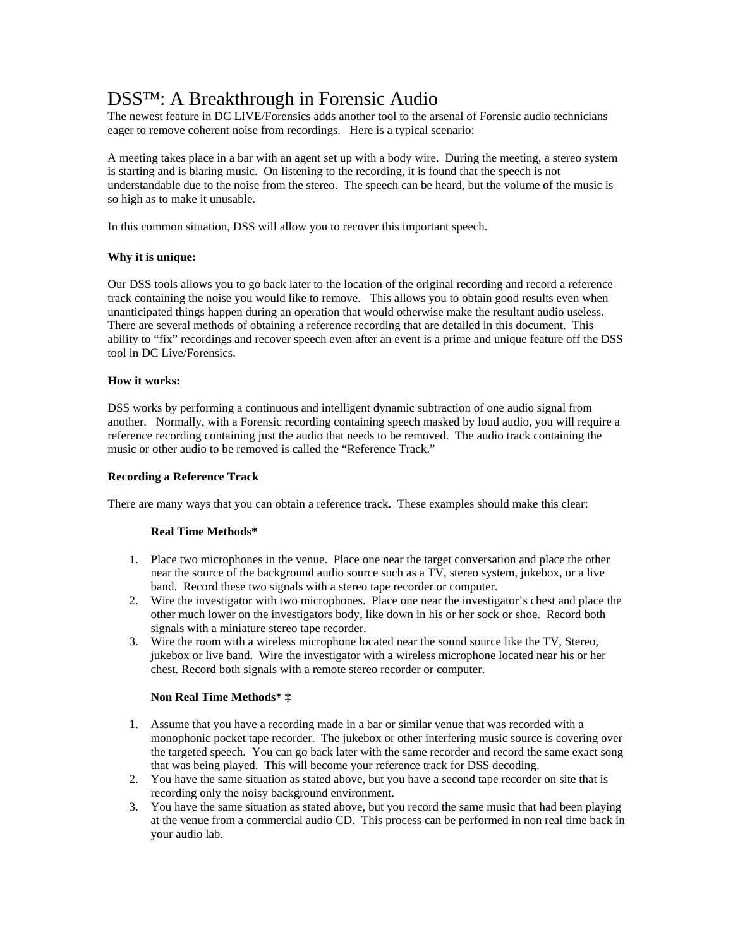# DSS™: A Breakthrough in Forensic Audio

The newest feature in DC LIVE/Forensics adds another tool to the arsenal of Forensic audio technicians eager to remove coherent noise from recordings. Here is a typical scenario:

A meeting takes place in a bar with an agent set up with a body wire. During the meeting, a stereo system is starting and is blaring music. On listening to the recording, it is found that the speech is not understandable due to the noise from the stereo. The speech can be heard, but the volume of the music is so high as to make it unusable.

In this common situation, DSS will allow you to recover this important speech.

## **Why it is unique:**

Our DSS tools allows you to go back later to the location of the original recording and record a reference track containing the noise you would like to remove. This allows you to obtain good results even when unanticipated things happen during an operation that would otherwise make the resultant audio useless. There are several methods of obtaining a reference recording that are detailed in this document. This ability to "fix" recordings and recover speech even after an event is a prime and unique feature off the DSS tool in DC Live/Forensics.

## **How it works:**

DSS works by performing a continuous and intelligent dynamic subtraction of one audio signal from another. Normally, with a Forensic recording containing speech masked by loud audio, you will require a reference recording containing just the audio that needs to be removed. The audio track containing the music or other audio to be removed is called the "Reference Track."

## **Recording a Reference Track**

There are many ways that you can obtain a reference track. These examples should make this clear:

## **Real Time Methods\***

- 1. Place two microphones in the venue. Place one near the target conversation and place the other near the source of the background audio source such as a TV, stereo system, jukebox, or a live band. Record these two signals with a stereo tape recorder or computer.
- 2. Wire the investigator with two microphones. Place one near the investigator's chest and place the other much lower on the investigators body, like down in his or her sock or shoe. Record both signals with a miniature stereo tape recorder.
- 3. Wire the room with a wireless microphone located near the sound source like the TV, Stereo, jukebox or live band. Wire the investigator with a wireless microphone located near his or her chest. Record both signals with a remote stereo recorder or computer.

## **Non Real Time Methods\* ‡**

- 1. Assume that you have a recording made in a bar or similar venue that was recorded with a monophonic pocket tape recorder. The jukebox or other interfering music source is covering over the targeted speech. You can go back later with the same recorder and record the same exact song that was being played. This will become your reference track for DSS decoding.
- 2. You have the same situation as stated above, but you have a second tape recorder on site that is recording only the noisy background environment.
- 3. You have the same situation as stated above, but you record the same music that had been playing at the venue from a commercial audio CD. This process can be performed in non real time back in your audio lab.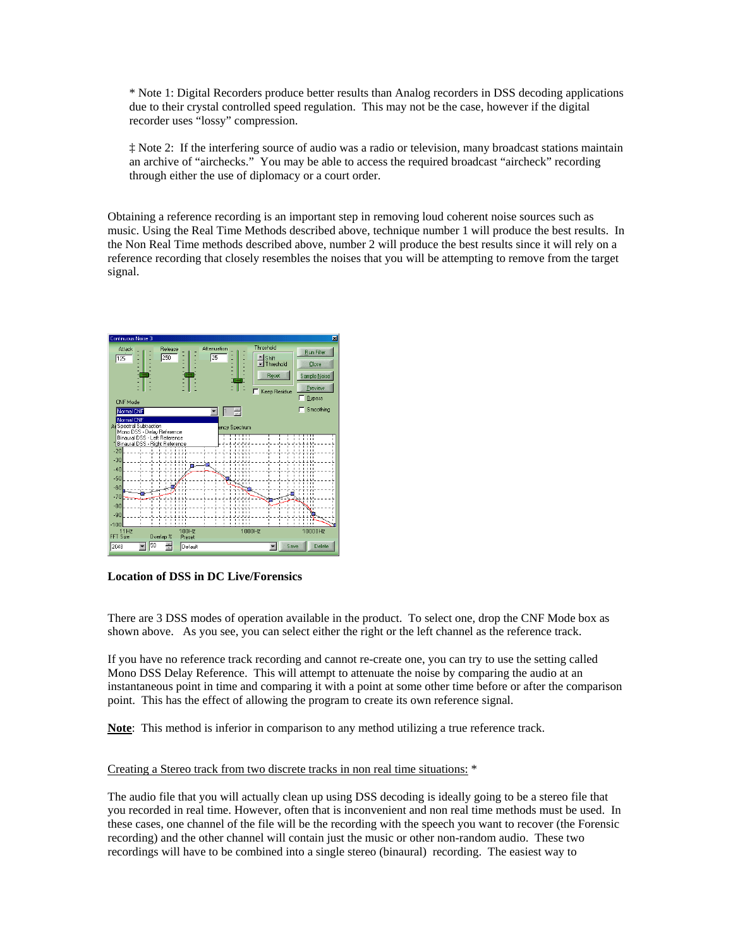\* Note 1: Digital Recorders produce better results than Analog recorders in DSS decoding applications due to their crystal controlled speed regulation. This may not be the case, however if the digital recorder uses "lossy" compression.

‡ Note 2: If the interfering source of audio was a radio or television, many broadcast stations maintain an archive of "airchecks." You may be able to access the required broadcast "aircheck" recording through either the use of diplomacy or a court order.

Obtaining a reference recording is an important step in removing loud coherent noise sources such as music. Using the Real Time Methods described above, technique number 1 will produce the best results. In the Non Real Time methods described above, number 2 will produce the best results since it will rely on a reference recording that closely resembles the noises that you will be attempting to remove from the target signal.



**Location of DSS in DC Live/Forensics** 

There are 3 DSS modes of operation available in the product. To select one, drop the CNF Mode box as shown above. As you see, you can select either the right or the left channel as the reference track.

If you have no reference track recording and cannot re-create one, you can try to use the setting called Mono DSS Delay Reference. This will attempt to attenuate the noise by comparing the audio at an instantaneous point in time and comparing it with a point at some other time before or after the comparison point. This has the effect of allowing the program to create its own reference signal.

**Note**: This method is inferior in comparison to any method utilizing a true reference track.

## Creating a Stereo track from two discrete tracks in non real time situations: \*

The audio file that you will actually clean up using DSS decoding is ideally going to be a stereo file that you recorded in real time. However, often that is inconvenient and non real time methods must be used. In these cases, one channel of the file will be the recording with the speech you want to recover (the Forensic recording) and the other channel will contain just the music or other non-random audio. These two recordings will have to be combined into a single stereo (binaural) recording. The easiest way to